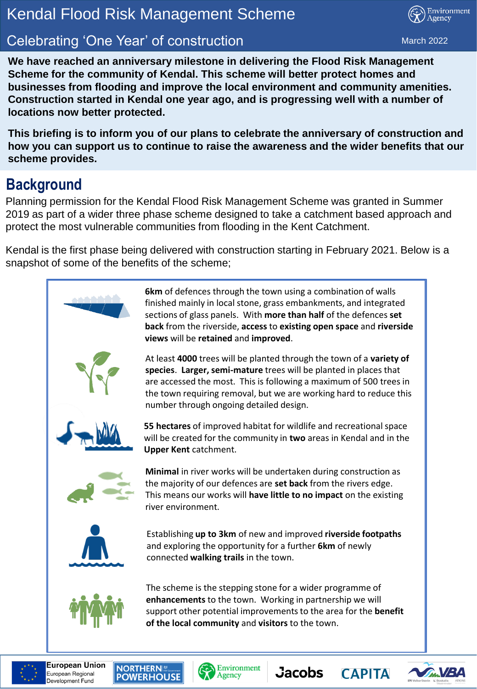### **Kendal Flood Risk Management Scheme** Kendal Flood Risk Management Scheme

## **Planning 'One Year' of construction and March 2022** March 2022

Environment Agency

**We have reached an anniversary milestone in delivering the Flood Risk Management Scheme for the community of Kendal. This scheme will better protect homes and businesses from flooding and improve the local environment and community amenities. Construction started in Kendal one year ago, and is progressing well with a number of locations now better protected.** 

**This briefing is to inform you of our plans to celebrate the anniversary of construction and how you can support us to continue to raise the awareness and the wider benefits that our scheme provides.**

#### **Background**

Planning permission for the Kendal Flood Risk Management Scheme was granted in Summer 2019 as part of a wider three phase scheme designed to take a catchment based approach and protect the most vulnerable communities from flooding in the Kent Catchment.

Kendal is the first phase being delivered with construction starting in February 2021. Below is a snapshot of some of the benefits of the scheme;



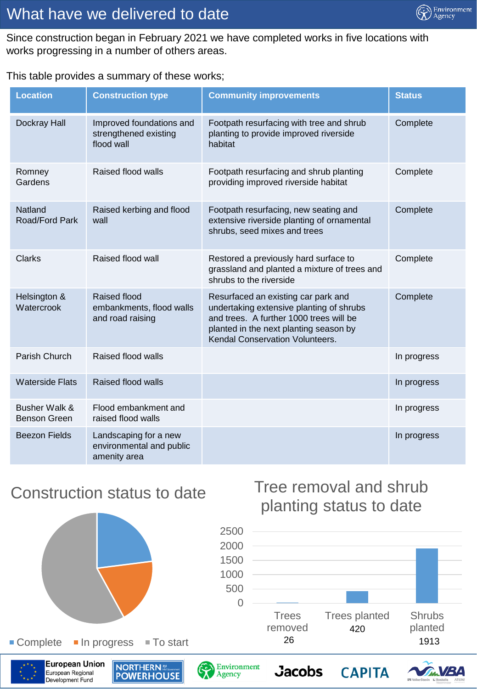

#### What have we delivered to date

Since construction began in February 2021 we have completed works in five locations with works progressing in a number of others areas.

#### This table provides a summary of these works;

| <b>Location</b>                          | <b>Construction type</b>                                          | <b>Community improvements</b>                                                                                                                                                                           | <b>Status</b> |
|------------------------------------------|-------------------------------------------------------------------|---------------------------------------------------------------------------------------------------------------------------------------------------------------------------------------------------------|---------------|
| Dockray Hall                             | Improved foundations and<br>strengthened existing<br>flood wall   | Footpath resurfacing with tree and shrub<br>planting to provide improved riverside<br>habitat                                                                                                           | Complete      |
| Romney<br>Gardens                        | Raised flood walls                                                | Footpath resurfacing and shrub planting<br>providing improved riverside habitat                                                                                                                         | Complete      |
| Natland<br>Road/Ford Park                | Raised kerbing and flood<br>wall                                  | Footpath resurfacing, new seating and<br>extensive riverside planting of ornamental<br>shrubs, seed mixes and trees                                                                                     | Complete      |
| <b>Clarks</b>                            | Raised flood wall                                                 | Restored a previously hard surface to<br>grassland and planted a mixture of trees and<br>shrubs to the riverside                                                                                        | Complete      |
| Helsington &<br>Watercrook               | Raised flood<br>embankments, flood walls<br>and road raising      | Resurfaced an existing car park and<br>undertaking extensive planting of shrubs<br>and trees. A further 1000 trees will be<br>planted in the next planting season by<br>Kendal Conservation Volunteers. | Complete      |
| Parish Church                            | Raised flood walls                                                |                                                                                                                                                                                                         | In progress   |
| <b>Waterside Flats</b>                   | Raised flood walls                                                |                                                                                                                                                                                                         | In progress   |
| <b>Busher Walk &amp;</b><br>Benson Green | Flood embankment and<br>raised flood walls                        |                                                                                                                                                                                                         | In progress   |
| <b>Beezon Fields</b>                     | Landscaping for a new<br>environmental and public<br>amenity area |                                                                                                                                                                                                         | In progress   |

#### Construction status to date



#### Tree removal and shrub planting status to date



**CAPITA** 



European Regional

Development Fund

**European Union NORTHERNE**<br>**POWERHOUSE** 



**Jacobs** 

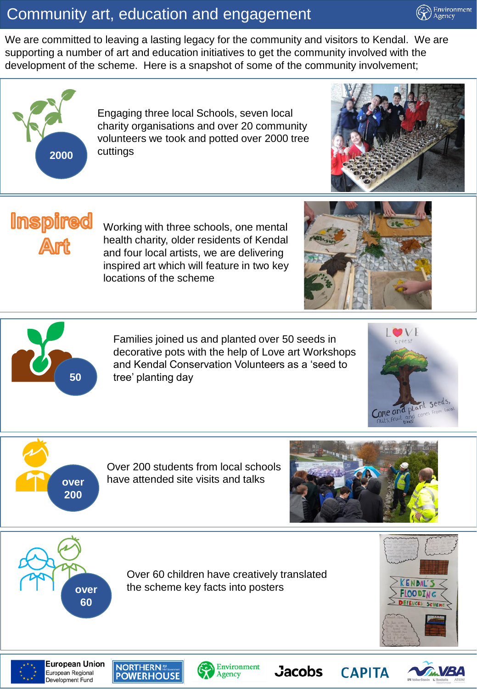#### Community art, education and engagement

We are committed to leaving a lasting legacy for the community and visitors to Kendal. We are supporting a number of art and education initiatives to get the community involved with the development of the scheme. Here is a snapshot of some of the community involvement;



Engaging three local Schools, seven local charity organisations and over 20 community volunteers we took and potted over 2000 tree



Environment Agency



Working with three schools, one mental health charity, older residents of Kendal and four local artists, we are delivering inspired art which will feature in two key locations of the scheme





Families joined us and planted over 50 seeds in decorative pots with the help of Love art Workshops and Kendal Conservation Volunteers as a 'seed to **50** tree' planting day





Over 200 students from local schools have attended site visits and talks



**CAPITA** 



Over 60 children have creatively translated **over** the scheme key facts into posters





**European Union** European Regional Development Fund





**Jacobs**